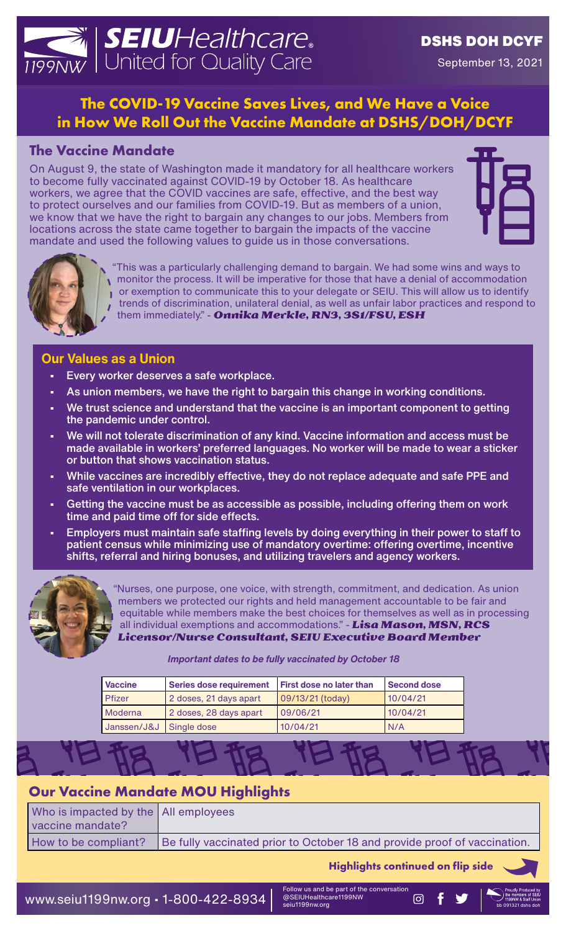# **SEIU**Healthcare. | United for Quality Care

## DSHS DOH DCYF

September 13, 2021

## **The COVID-19 Vaccine Saves Lives, and We Have a Voice in How We Roll Out the Vaccine Mandate at DSHS/DOH/DCYF**

## **The Vaccine Mandate**

On August 9, the state of Washington made it mandatory for all healthcare workers to become fully vaccinated against COVID-19 by October 18. As healthcare workers, we agree that the COVID vaccines are safe, effective, and the best way to protect ourselves and our families from COVID-19. But as members of a union, we know that we have the right to bargain any changes to our jobs. Members from locations across the state came together to bargain the impacts of the vaccine mandate and used the following values to guide us in those conversations.





"This was a particularly challenging demand to bargain. We had some wins and ways to monitor the process. It will be imperative for those that have a denial of accommodation or exemption to communicate this to your delegate or SEIU. This will allow us to identify trends of discrimination, unilateral denial, as well as unfair labor practices and respond to them immediately." - *Onnika Merkle, RN3, 3S1/FSU, ESH*

#### **Our Values as a Union**

- Every worker deserves a safe workplace.
- As union members, we have the right to bargain this change in working conditions.
- We trust science and understand that the vaccine is an important component to getting the pandemic under control.
- We will not tolerate discrimination of any kind. Vaccine information and access must be made available in workers' preferred languages. No worker will be made to wear a sticker or button that shows vaccination status.
- While vaccines are incredibly effective, they do not replace adequate and safe PPE and safe ventilation in our workplaces.
- Getting the vaccine must be as accessible as possible, including offering them on work time and paid time off for side effects.
- Employers must maintain safe staffing levels by doing everything in their power to staff to patient census while minimizing use of mandatory overtime: offering overtime, incentive shifts, referral and hiring bonuses, and utilizing travelers and agency workers.



"Nurses, one purpose, one voice, with strength, commitment, and dedication. As union members we protected our rights and held management accountable to be fair and equitable while members make the best choices for themselves as well as in processing all individual exemptions and accommodations." - *Lisa Mason, MSN, RCS Licensor/Nurse Consultant, SEIU Executive Board Member*

#### *Important dates to be fully vaccinated by October 18*

| <b>Vaccine</b>          | <b>Series dose requirement</b> | <b>First dose no later than</b> | Second dose |
|-------------------------|--------------------------------|---------------------------------|-------------|
| <b>Pfizer</b>           | 2 doses, 21 days apart         | 09/13/21 (today)                | 10/04/21    |
| <b>Moderna</b>          | 2 doses, 28 days apart         | 09/06/21                        | 10/04/21    |
| Janssen/J&J Single dose |                                | 10/04/21                        | N/A         |

### **Our Vaccine Mandate MOU Highlights**

| Who is impacted by the All employees |                                                                           |
|--------------------------------------|---------------------------------------------------------------------------|
| vaccine mandate?                     |                                                                           |
| How to be compliant?                 | Be fully vaccinated prior to October 18 and provide proof of vaccination. |

**Highlights continued on flip side**

WWW.Seiu1199nw.org • 1-800-422-8934  $\frac{1}{2}$   $\frac{1}{2}$   $\frac{1}{2}$   $\frac{1}{2}$   $\frac{1}{2}$   $\frac{1}{2}$   $\frac{1}{2}$   $\frac{1}{2}$   $\frac{1}{2}$   $\frac{1}{2}$   $\frac{1}{2}$   $\frac{1}{2}$   $\frac{1}{2}$   $\frac{1}{2}$   $\frac{1}{2}$   $\frac{1}{2}$   $\frac{1}{2}$   $\frac{1}{2}$   $\frac{1$ 

Follow us and be part of the conversation @SEIUHealthcare1199NW seiu1199nw.org